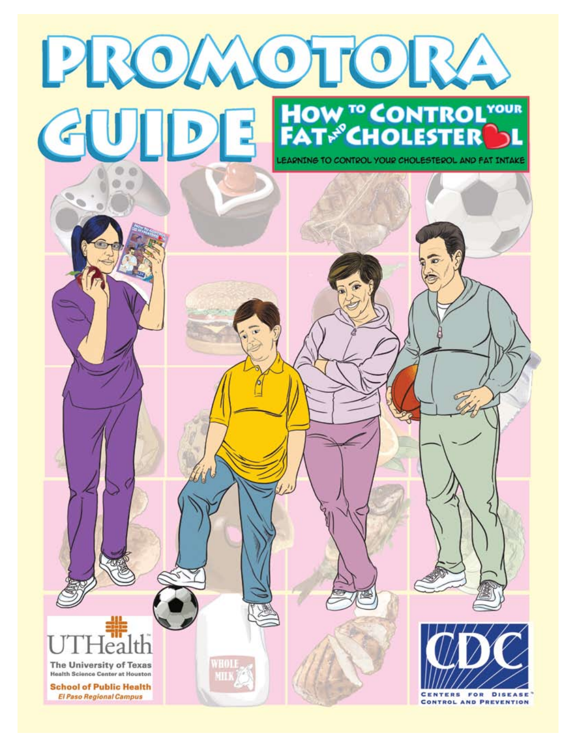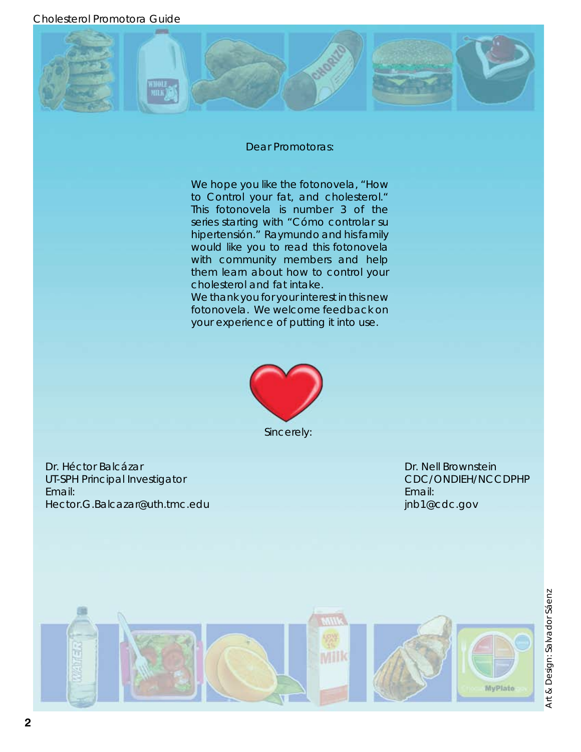Cholesterol Promotora Guide



#### Dear Promotoras:

We hope you like the fotonovela, "How to Control your fat, and cholesterol." This fotonovela is number 3 of the series starting with "Cómo controlar su hipertensión." Raymundo and his family would like you to read this fotonovela with community members and help them learn about how to control your cholesterol and fat intake.

We thank you for your interest in this new fotonovela. We welcome feedback on your experience of putting it into use.



Dr. Héctor Balcázar UT-SPH Principal Investigator Email: Hector.G.Balcazar@uth.tmc.edu

Dr. Nell Brownstein CDC/ONDIEH/NCCDPHP Email: jnb1@cdc.gov

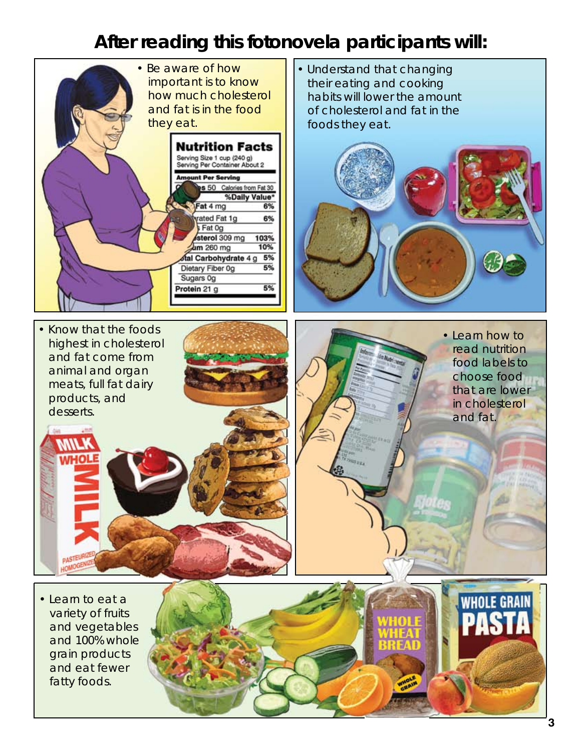#### **After reading this fotonovela participants will:**

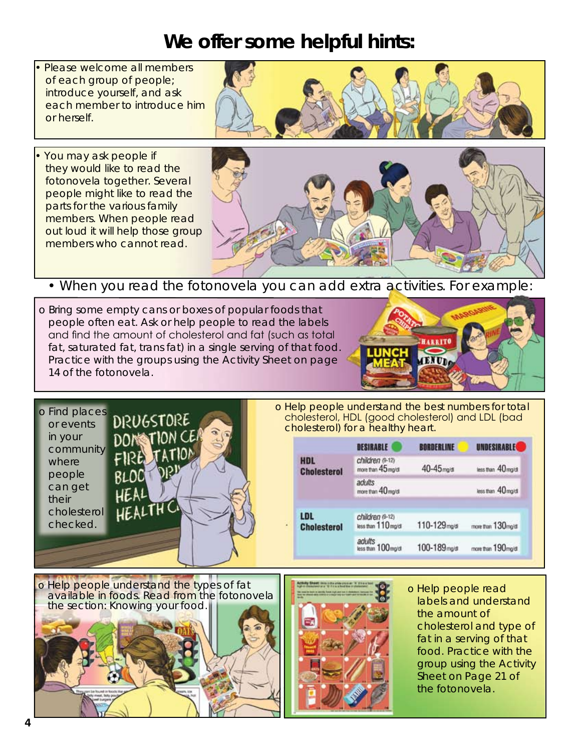#### **We offer some helpful hints:**

- Please welcome all members of each group of people; introduce yourself, and ask each member to introduce him or herself.
- You may ask people if they would like to read the fotonovela together. Several people might like to read the parts for the various family members. When people read out loud it will help those group members who cannot read.



• When you read the fotonovela you can add extra activities. For example:

o Bring some empty cans or boxes of popular foods that people often eat. Ask or help people to read the labels and find the amount of cholesterol and fat (such as total fat, saturated fat, trans fat) in a single serving of that food. Practice with the groups using the Activity Sheet on page 14 of the fotonovela.





o Help people understand the best numbers for total cholesterol, HDL (good cholesterol) and LDL (bad cholesterol) for a healthy heart.

|                           | DESIBABLE                              | BORDERLINE              | <b>UNDESIRABLE</b> |
|---------------------------|----------------------------------------|-------------------------|--------------------|
| HDL<br><b>Cholesterol</b> | children (9-12)<br>more than 45 mg/dl  | 40-45 <sub>mg/d</sub>   | less than 40 mg/dl |
|                           | adults<br>more than 40 mg/di           |                         | less than 40 mg/dl |
| LDL<br><b>Cholesterol</b> | children (9-12)<br>less than 110 mg/di | 110-129 <sub>mg/d</sub> | more than 130mg/di |
|                           | adults<br>less than 100 mg/dl          | 100-189 <sub>mg/d</sub> | more than 190mg/dl |





o Help people read labels and understand the amount of cholesterol and type of fat in a serving of that food. Practice with the group using the Activity Sheet on Page 21 of the fotonovela.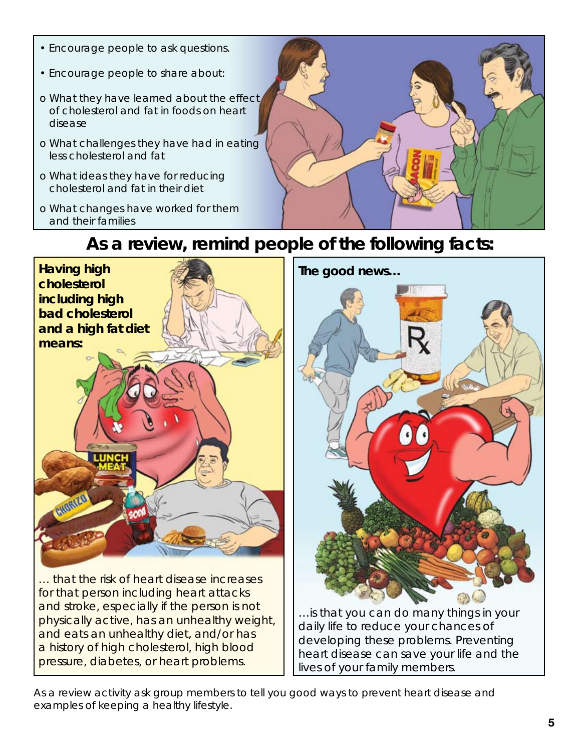• Encourage people to ask questions. • Encourage people to share about: o What they have learned about the effect of cholesterol and fat in foods on heart disease o What challenges they have had in eating less cholesterol and fat o What ideas they have for reducing cholesterol and fat in their diet o What changes have worked for them and their families

# **Having high cholesterol including high bad cholesterol and a high fat diet means:** … that the risk of heart disease increases for that person including heart attacks and stroke, especially if the person is not

physically active, has an unhealthy weight, and eats an unhealthy diet, and/or has a history of high cholesterol, high blood pressure, diabetes, or heart problems.

…is that you can do many things in your daily life to reduce your chances of developing these problems. Preventing heart disease can save your life and the lives of your family members.

As a review activity ask group members to tell you good ways to prevent heart disease and examples of keeping a healthy lifestyle.

#### **As a review, remind people of the following facts:**

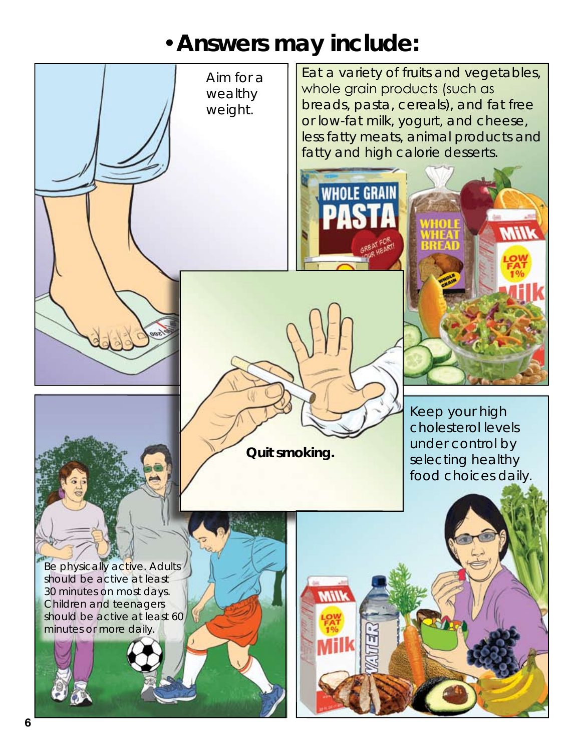## •**Answers may include:**

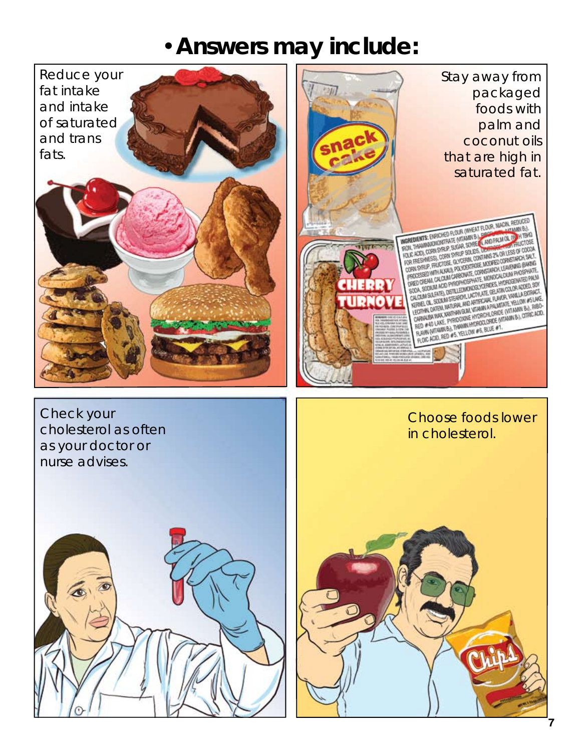### •**Answers may include:**